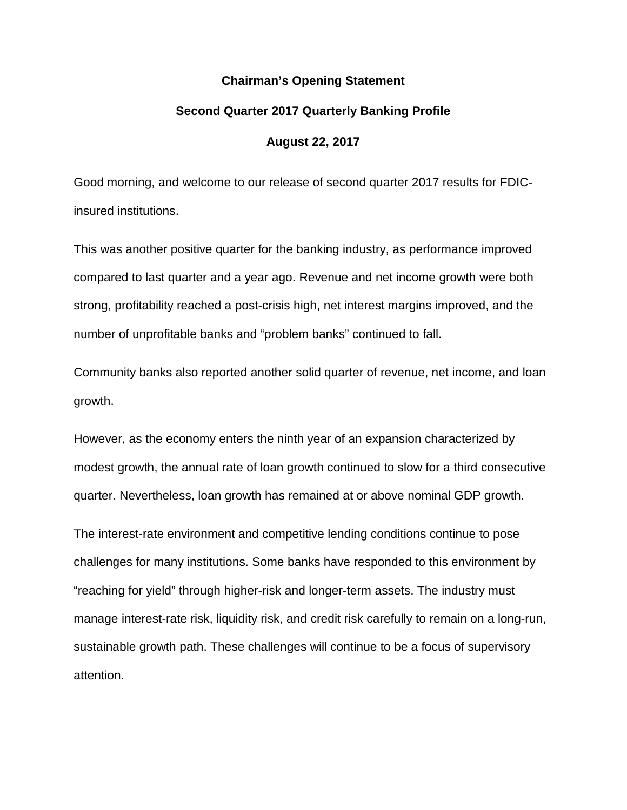#### **Chairman's Opening Statement**

#### **Second Quarter 2017 Quarterly Banking Profile**

#### **August 22, 2017**

Good morning, and welcome to our release of second quarter 2017 results for FDICinsured institutions.

This was another positive quarter for the banking industry, as performance improved compared to last quarter and a year ago. Revenue and net income growth were both strong, profitability reached a post-crisis high, net interest margins improved, and the number of unprofitable banks and "problem banks" continued to fall.

Community banks also reported another solid quarter of revenue, net income, and loan growth.

However, as the economy enters the ninth year of an expansion characterized by modest growth, the annual rate of loan growth continued to slow for a third consecutive quarter. Nevertheless, loan growth has remained at or above nominal GDP growth.

The interest-rate environment and competitive lending conditions continue to pose challenges for many institutions. Some banks have responded to this environment by "reaching for yield" through higher-risk and longer-term assets. The industry must manage interest-rate risk, liquidity risk, and credit risk carefully to remain on a long-run, sustainable growth path. These challenges will continue to be a focus of supervisory attention.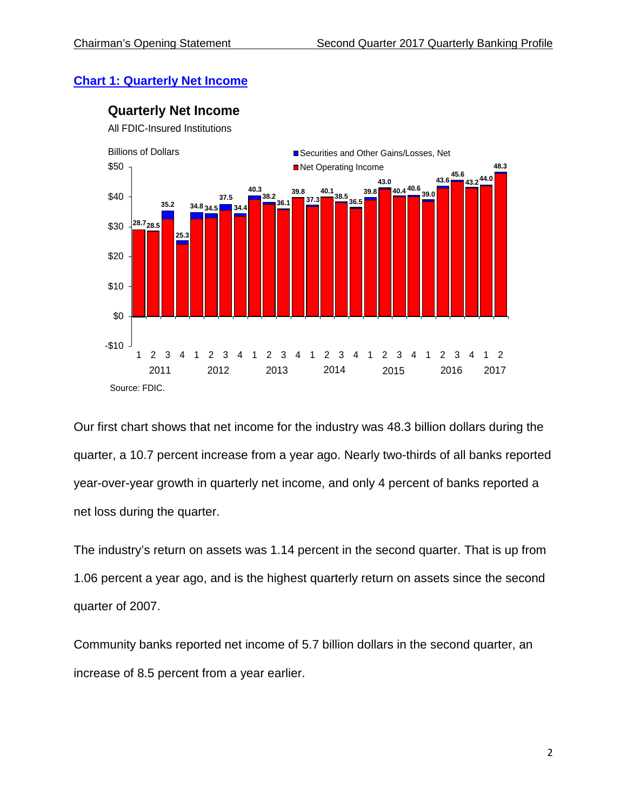## **Chart 1: [Quarterly Net Income](https://www.fdic.gov/bank/analytical/qbp/2017jun/chart1.html)**



**Quarterly Net Income**

All FDIC-Insured Institutions

Our first chart shows that net income for the industry was 48.3 billion dollars during the quarter, a 10.7 percent increase from a year ago. Nearly two-thirds of all banks reported year-over-year growth in quarterly net income, and only 4 percent of banks reported a net loss during the quarter.

The industry's return on assets was 1.14 percent in the second quarter. That is up from 1.06 percent a year ago, and is the highest quarterly return on assets since the second quarter of 2007.

Community banks reported net income of 5.7 billion dollars in the second quarter, an increase of 8.5 percent from a year earlier.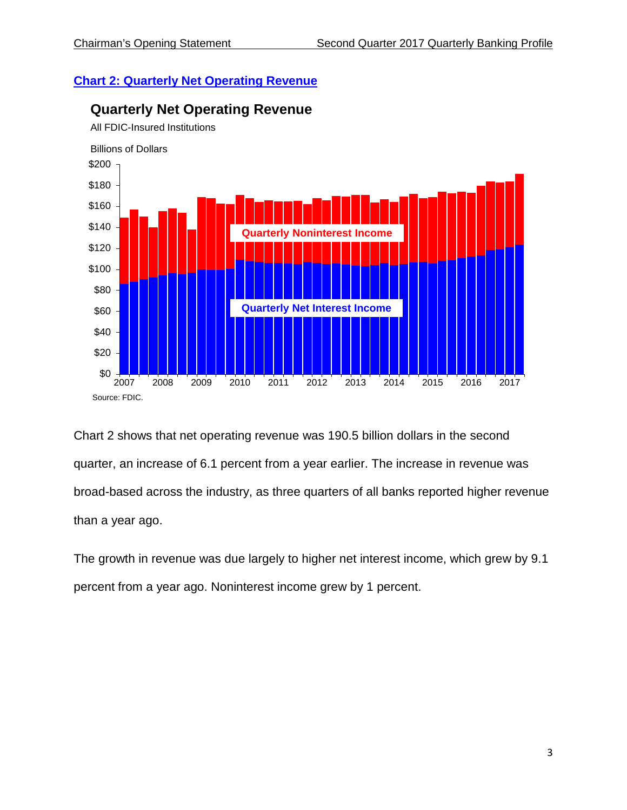## **Chart 2: [Quarterly Net Operating Revenue](https://www.fdic.gov/bank/analytical/qbp/2017jun/chart2.html)**



## **Quarterly Net Operating Revenue**

Chart 2 shows that net operating revenue was 190.5 billion dollars in the second quarter, an increase of 6.1 percent from a year earlier. The increase in revenue was broad-based across the industry, as three quarters of all banks reported higher revenue than a year ago.

The growth in revenue was due largely to higher net interest income, which grew by 9.1 percent from a year ago. Noninterest income grew by 1 percent.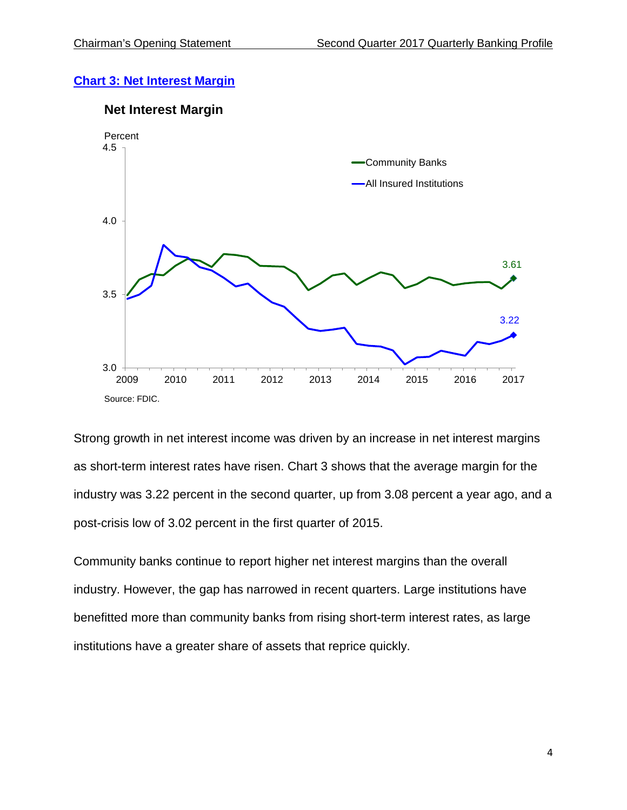## **Chart 3: [Net Interest Margin](https://www.fdic.gov/bank/analytical/qbp/2017jun/chartcb2.html)**

### **Net Interest Margin**



Strong growth in net interest income was driven by an increase in net interest margins as short-term interest rates have risen. Chart 3 shows that the average margin for the industry was 3.22 percent in the second quarter, up from 3.08 percent a year ago, and a post-crisis low of 3.02 percent in the first quarter of 2015.

Community banks continue to report higher net interest margins than the overall industry. However, the gap has narrowed in recent quarters. Large institutions have benefitted more than community banks from rising short-term interest rates, as large institutions have a greater share of assets that reprice quickly.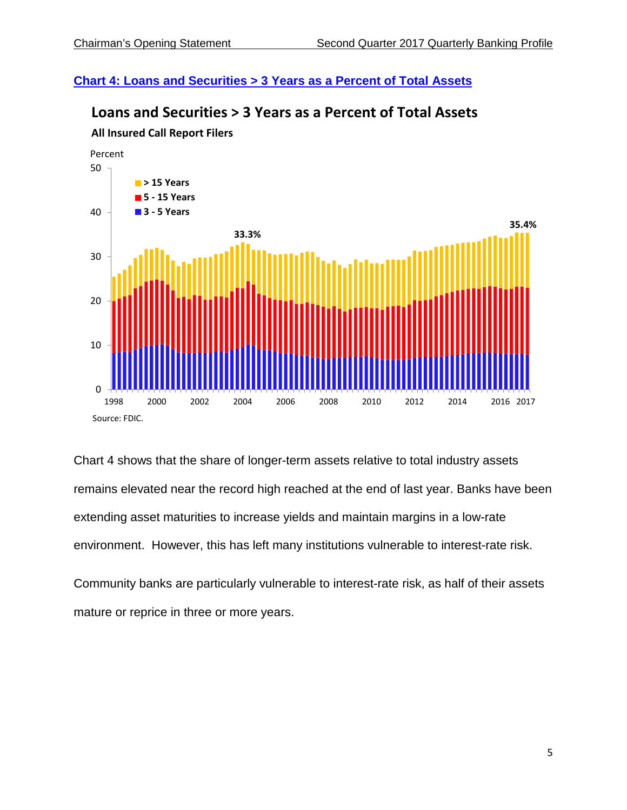## **Chart 4: [Loans and Securities > 3 Years as a Percent of Total Assets](https://www.fdic.gov/bank/analytical/qbp/2017jun/chart7.html)**



# **Loans and Securities > 3 Years as a Percent of Total Assets All Insured Call Report Filers**

Chart 4 shows that the share of longer-term assets relative to total industry assets remains elevated near the record high reached at the end of last year. Banks have been extending asset maturities to increase yields and maintain margins in a low-rate environment. However, this has left many institutions vulnerable to interest-rate risk.

Community banks are particularly vulnerable to interest-rate risk, as half of their assets mature or reprice in three or more years.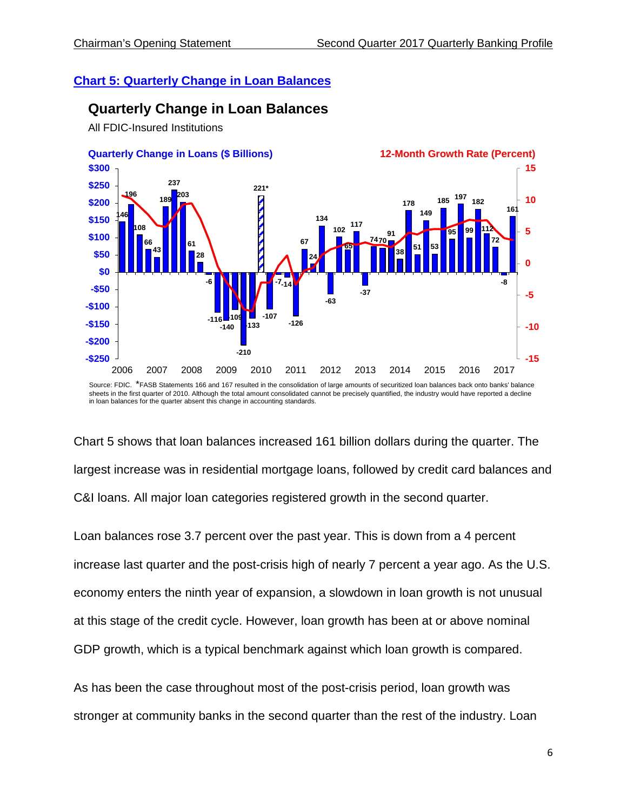## **Chart 5: [Quarterly Change in Loan Balances](https://www.fdic.gov/bank/analytical/qbp/2017jun/chart6.html)**

# **Quarterly Change in Loan Balances**

All FDIC-Insured Institutions



Source: FDIC. \*FASB Statements 166 and 167 resulted in the consolidation of large amounts of securitized loan balances back onto banks' balance sheets in the first quarter of 2010. Although the total amount consolidated cannot be precisely quantified, the industry would have reported a decline in loan balances for the quarter absent this change in accounting standards.

Chart 5 shows that loan balances increased 161 billion dollars during the quarter. The largest increase was in residential mortgage loans, followed by credit card balances and C&I loans. All major loan categories registered growth in the second quarter.

Loan balances rose 3.7 percent over the past year. This is down from a 4 percent increase last quarter and the post-crisis high of nearly 7 percent a year ago. As the U.S. economy enters the ninth year of expansion, a slowdown in loan growth is not unusual at this stage of the credit cycle. However, loan growth has been at or above nominal GDP growth, which is a typical benchmark against which loan growth is compared.

As has been the case throughout most of the post-crisis period, loan growth was stronger at community banks in the second quarter than the rest of the industry. Loan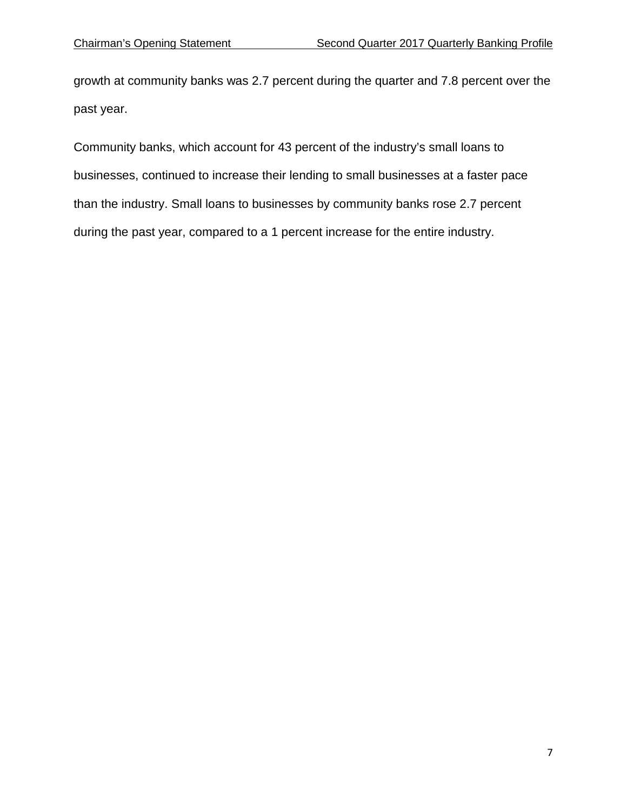growth at community banks was 2.7 percent during the quarter and 7.8 percent over the past year.

Community banks, which account for 43 percent of the industry's small loans to businesses, continued to increase their lending to small businesses at a faster pace than the industry. Small loans to businesses by community banks rose 2.7 percent during the past year, compared to a 1 percent increase for the entire industry.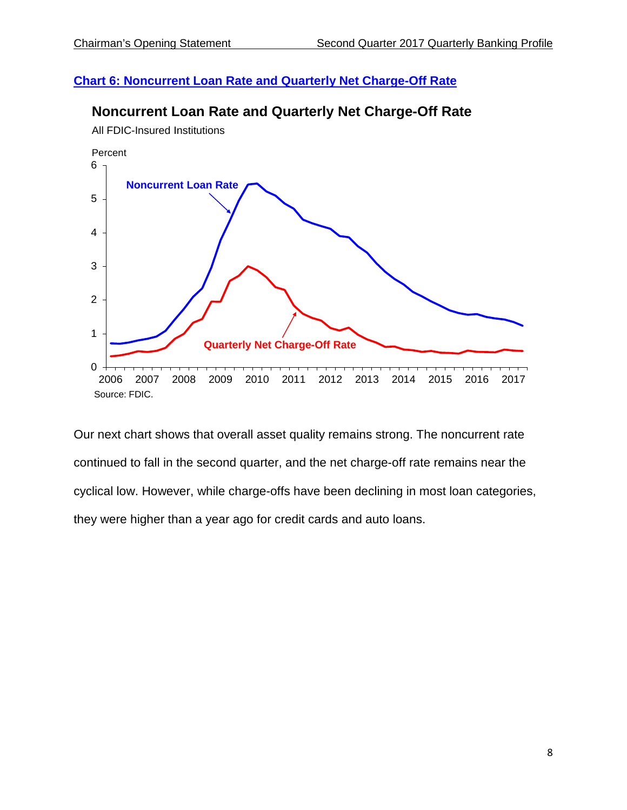## **Chart 6: [Noncurrent Loan Rate and Quarterly Net Charge-Off Rate](https://www.fdic.gov/bank/analytical/qbp/2017jun/chart4.html)**





Our next chart shows that overall asset quality remains strong. The noncurrent rate continued to fall in the second quarter, and the net charge-off rate remains near the cyclical low. However, while charge-offs have been declining in most loan categories, they were higher than a year ago for credit cards and auto loans.

All FDIC-Insured Institutions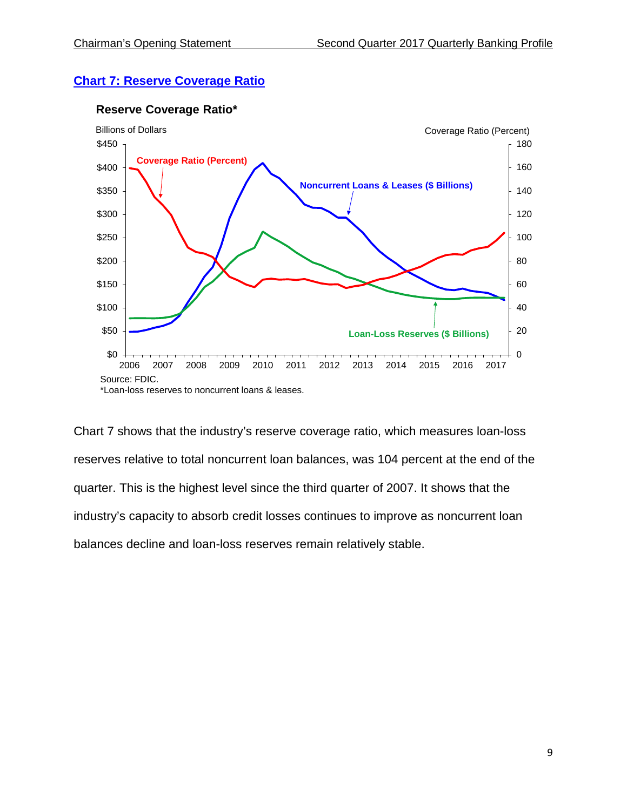## **Chart 7: [Reserve Coverage Ratio](https://www.fdic.gov/bank/analytical/qbp/2017jun/chart5.html)**



#### **Reserve Coverage Ratio\***

Chart 7 shows that the industry's reserve coverage ratio, which measures loan-loss reserves relative to total noncurrent loan balances, was 104 percent at the end of the quarter. This is the highest level since the third quarter of 2007. It shows that the industry's capacity to absorb credit losses continues to improve as noncurrent loan balances decline and loan-loss reserves remain relatively stable.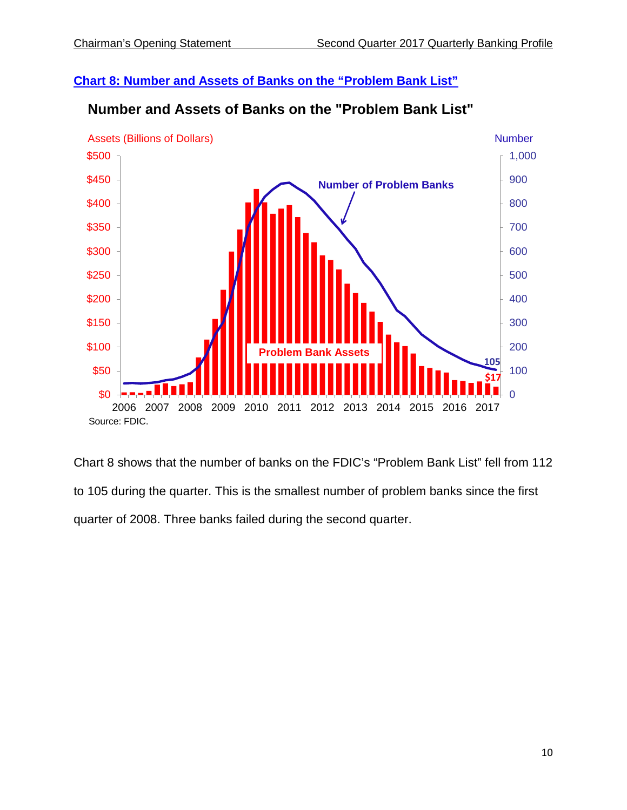## **Chart 8: [Number and Assets of Banks on the "Problem Bank List"](https://www.fdic.gov/bank/analytical/qbp/2017jun/chart8.html)**



# **Number and Assets of Banks on the "Problem Bank List"**

Chart 8 shows that the number of banks on the FDIC's "Problem Bank List" fell from 112 to 105 during the quarter. This is the smallest number of problem banks since the first quarter of 2008. Three banks failed during the second quarter.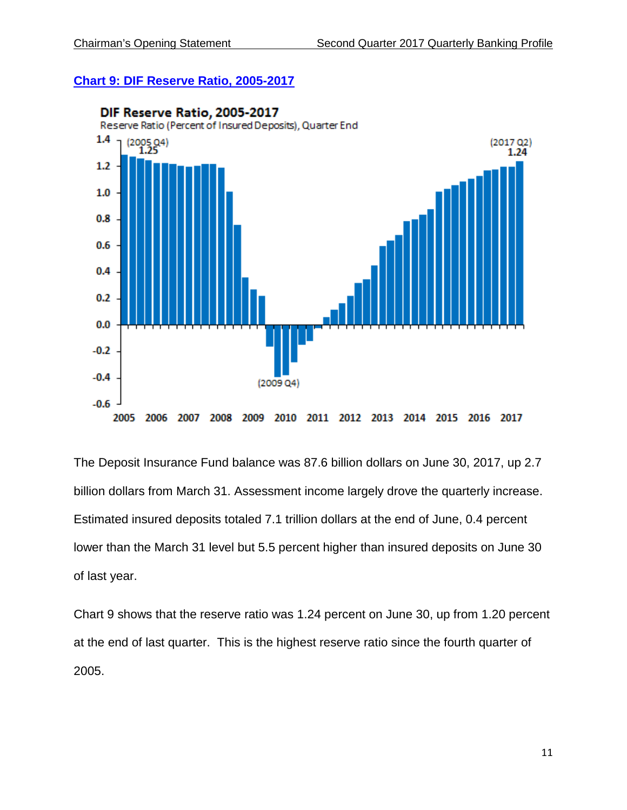#### **Chart 9: [DIF Reserve Ratio, 2005-2017](https://www.fdic.gov/bank/analytical/qbp/2017jun/chart9.html)**



The Deposit Insurance Fund balance was 87.6 billion dollars on June 30, 2017, up 2.7 billion dollars from March 31. Assessment income largely drove the quarterly increase. Estimated insured deposits totaled 7.1 trillion dollars at the end of June, 0.4 percent lower than the March 31 level but 5.5 percent higher than insured deposits on June 30 of last year.

Chart 9 shows that the reserve ratio was 1.24 percent on June 30, up from 1.20 percent at the end of last quarter. This is the highest reserve ratio since the fourth quarter of 2005.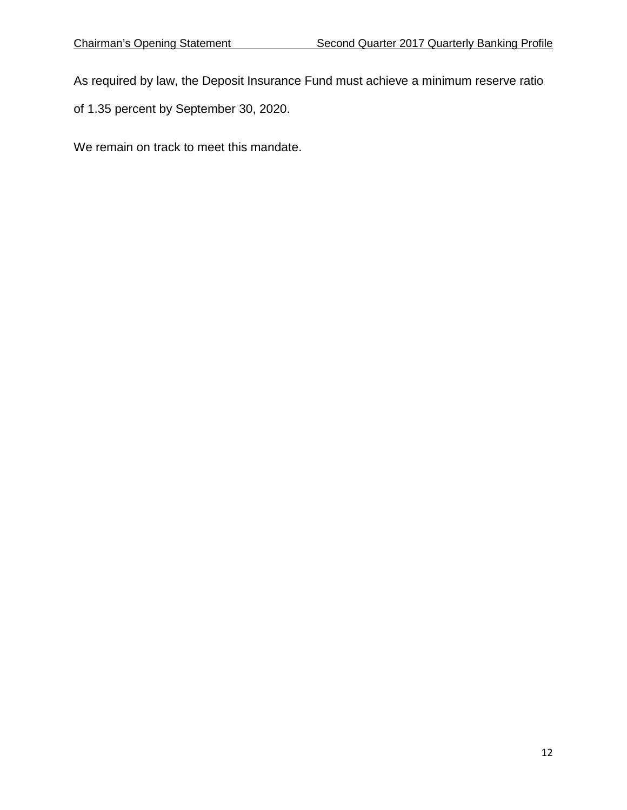As required by law, the Deposit Insurance Fund must achieve a minimum reserve ratio

of 1.35 percent by September 30, 2020.

We remain on track to meet this mandate.